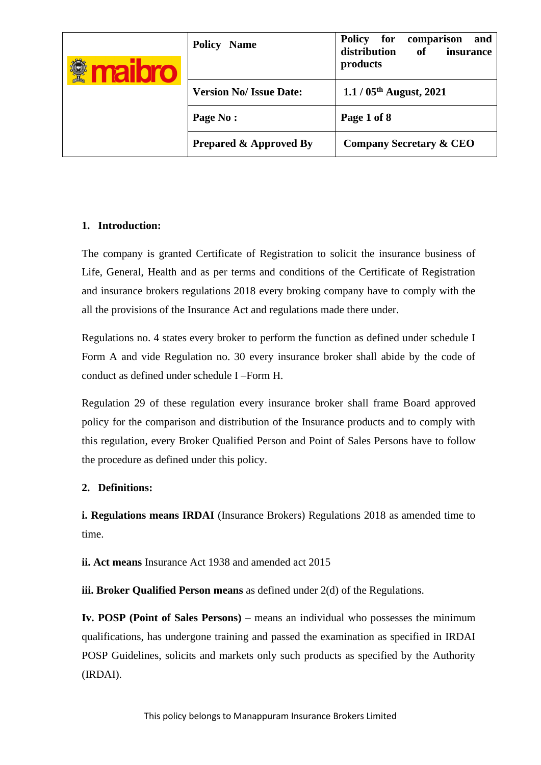|  | <b>Policy</b><br><b>Name</b>      | <b>Policy</b><br>for<br>and<br>comparison<br>distribution<br>of<br>insurance<br>products |  |
|--|-----------------------------------|------------------------------------------------------------------------------------------|--|
|  | <b>Version No/ Issue Date:</b>    | $1.1 / 05$ <sup>th</sup> August, 2021                                                    |  |
|  | Page No:                          | Page 1 of 8                                                                              |  |
|  | <b>Prepared &amp; Approved By</b> | <b>Company Secretary &amp; CEO</b>                                                       |  |

### **1. Introduction:**

The company is granted Certificate of Registration to solicit the insurance business of Life, General, Health and as per terms and conditions of the Certificate of Registration and insurance brokers regulations 2018 every broking company have to comply with the all the provisions of the Insurance Act and regulations made there under.

Regulations no. 4 states every broker to perform the function as defined under schedule I Form A and vide Regulation no. 30 every insurance broker shall abide by the code of conduct as defined under schedule I –Form H.

Regulation 29 of these regulation every insurance broker shall frame Board approved policy for the comparison and distribution of the Insurance products and to comply with this regulation, every Broker Qualified Person and Point of Sales Persons have to follow the procedure as defined under this policy.

### **2. Definitions:**

**i. Regulations means IRDAI** (Insurance Brokers) Regulations 2018 as amended time to time.

**ii. Act means** Insurance Act 1938 and amended act 2015

**iii. Broker Qualified Person means** as defined under 2(d) of the Regulations.

**Iv. POSP (Point of Sales Persons) –** means an individual who possesses the minimum qualifications, has undergone training and passed the examination as specified in IRDAI POSP Guidelines, solicits and markets only such products as specified by the Authority (IRDAI).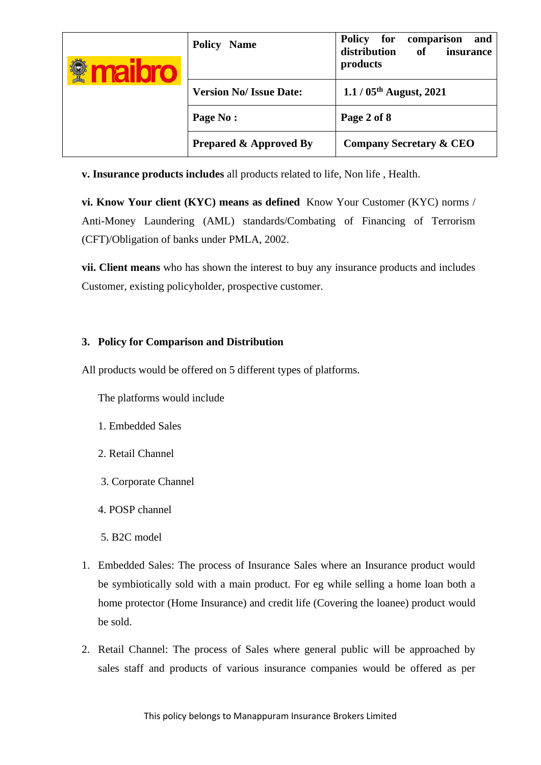| $\geq$<br><b>ALLE</b> | <b>Policy Name</b>                | <b>Policy</b><br>for<br>comparison<br>and<br>distribution<br>of<br>insurance<br>products |
|-----------------------|-----------------------------------|------------------------------------------------------------------------------------------|
|                       | <b>Version No/ Issue Date:</b>    | $1.1 / 05$ <sup>th</sup> August, 2021                                                    |
|                       | Page No:                          | Page 2 of 8                                                                              |
|                       | <b>Prepared &amp; Approved By</b> | <b>Company Secretary &amp; CEO</b>                                                       |

**v. Insurance products includes** all products related to life, Non life , Health.

**vi. Know Your client (KYC) means as defined** Know Your Customer (KYC) norms / Anti-Money Laundering (AML) standards/Combating of Financing of Terrorism (CFT)/Obligation of banks under PMLA, 2002.

**vii. Client means** who has shown the interest to buy any insurance products and includes Customer, existing policyholder, prospective customer.

### **3. Policy for Comparison and Distribution**

All products would be offered on 5 different types of platforms.

The platforms would include

- 1. Embedded Sales
- 2. Retail Channel
- 3. Corporate Channel
- 4. POSP channel
- 5. B2C model
- 1. Embedded Sales: The process of Insurance Sales where an Insurance product would be symbiotically sold with a main product. For eg while selling a home loan both a home protector (Home Insurance) and credit life (Covering the loanee) product would be sold.
- 2. Retail Channel: The process of Sales where general public will be approached by sales staff and products of various insurance companies would be offered as per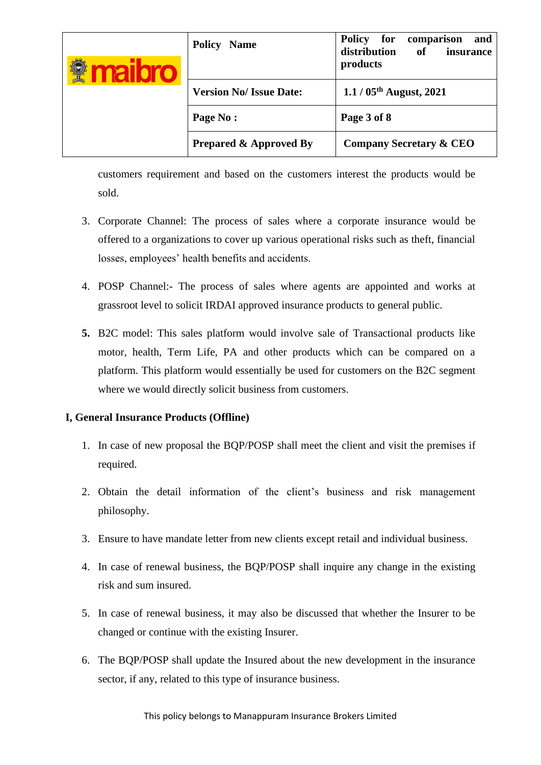|  | Policy<br><b>Name</b>             | <b>Policy</b><br>for<br>comparison<br>and<br>distribution<br>of<br>insurance<br>products |
|--|-----------------------------------|------------------------------------------------------------------------------------------|
|  | <b>Version No/ Issue Date:</b>    | $1.1 / 05$ <sup>th</sup> August, 2021                                                    |
|  | Page No:                          | Page 3 of 8                                                                              |
|  | <b>Prepared &amp; Approved By</b> | <b>Company Secretary &amp; CEO</b>                                                       |

customers requirement and based on the customers interest the products would be sold.

- 3. Corporate Channel: The process of sales where a corporate insurance would be offered to a organizations to cover up various operational risks such as theft, financial losses, employees' health benefits and accidents.
- 4. POSP Channel:- The process of sales where agents are appointed and works at grassroot level to solicit IRDAI approved insurance products to general public.
- **5.** B2C model: This sales platform would involve sale of Transactional products like motor, health, Term Life, PA and other products which can be compared on a platform. This platform would essentially be used for customers on the B2C segment where we would directly solicit business from customers.

#### **I, General Insurance Products (Offline)**

- 1. In case of new proposal the BQP/POSP shall meet the client and visit the premises if required.
- 2. Obtain the detail information of the client's business and risk management philosophy.
- 3. Ensure to have mandate letter from new clients except retail and individual business.
- 4. In case of renewal business, the BQP/POSP shall inquire any change in the existing risk and sum insured.
- 5. In case of renewal business, it may also be discussed that whether the Insurer to be changed or continue with the existing Insurer.
- 6. The BQP/POSP shall update the Insured about the new development in the insurance sector, if any, related to this type of insurance business.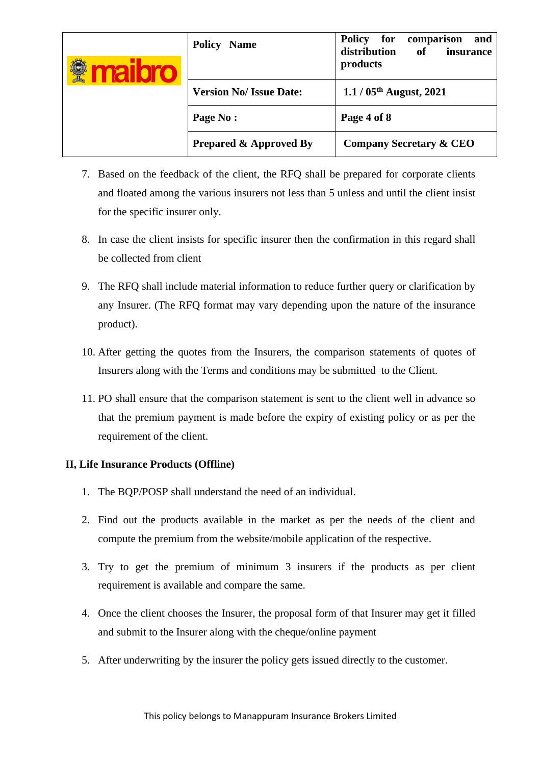| nalloro | <b>Policy Name</b>                | <b>Policy</b><br>for<br>comparison<br>and<br>distribution<br>of<br>insurance<br>products |  |
|---------|-----------------------------------|------------------------------------------------------------------------------------------|--|
|         | <b>Version No/ Issue Date:</b>    | $1.1 / 05$ <sup>th</sup> August, 2021                                                    |  |
|         | Page No:                          | Page 4 of 8                                                                              |  |
|         | <b>Prepared &amp; Approved By</b> | <b>Company Secretary &amp; CEO</b>                                                       |  |

- 7. Based on the feedback of the client, the RFQ shall be prepared for corporate clients and floated among the various insurers not less than 5 unless and until the client insist for the specific insurer only.
- 8. In case the client insists for specific insurer then the confirmation in this regard shall be collected from client
- 9. The RFQ shall include material information to reduce further query or clarification by any Insurer. (The RFQ format may vary depending upon the nature of the insurance product).
- 10. After getting the quotes from the Insurers, the comparison statements of quotes of Insurers along with the Terms and conditions may be submitted to the Client.
- 11. PO shall ensure that the comparison statement is sent to the client well in advance so that the premium payment is made before the expiry of existing policy or as per the requirement of the client.

#### **II, Life Insurance Products (Offline)**

- 1. The BQP/POSP shall understand the need of an individual.
- 2. Find out the products available in the market as per the needs of the client and compute the premium from the website/mobile application of the respective.
- 3. Try to get the premium of minimum 3 insurers if the products as per client requirement is available and compare the same.
- 4. Once the client chooses the Insurer, the proposal form of that Insurer may get it filled and submit to the Insurer along with the cheque/online payment
- 5. After underwriting by the insurer the policy gets issued directly to the customer.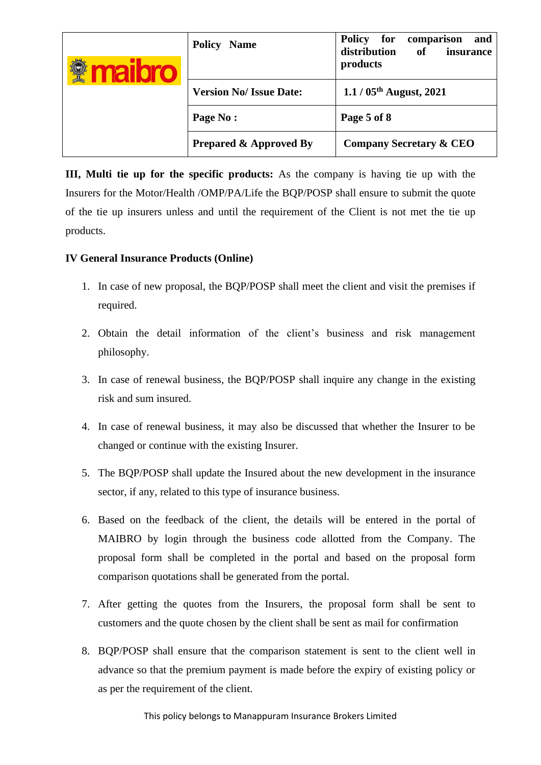|  | <b>Policy Name</b>                | <b>Policy</b><br>for<br>comparison<br>and<br>distribution<br>of<br>insurance<br>products |  |
|--|-----------------------------------|------------------------------------------------------------------------------------------|--|
|  | <b>Version No/ Issue Date:</b>    | $1.1 / 05$ <sup>th</sup> August, 2021                                                    |  |
|  | Page No:                          | Page 5 of 8                                                                              |  |
|  | <b>Prepared &amp; Approved By</b> | <b>Company Secretary &amp; CEO</b>                                                       |  |

**III, Multi tie up for the specific products:** As the company is having tie up with the Insurers for the Motor/Health /OMP/PA/Life the BQP/POSP shall ensure to submit the quote of the tie up insurers unless and until the requirement of the Client is not met the tie up products.

### **IV General Insurance Products (Online)**

- 1. In case of new proposal, the BQP/POSP shall meet the client and visit the premises if required.
- 2. Obtain the detail information of the client's business and risk management philosophy.
- 3. In case of renewal business, the BQP/POSP shall inquire any change in the existing risk and sum insured.
- 4. In case of renewal business, it may also be discussed that whether the Insurer to be changed or continue with the existing Insurer.
- 5. The BQP/POSP shall update the Insured about the new development in the insurance sector, if any, related to this type of insurance business.
- 6. Based on the feedback of the client, the details will be entered in the portal of MAIBRO by login through the business code allotted from the Company. The proposal form shall be completed in the portal and based on the proposal form comparison quotations shall be generated from the portal.
- 7. After getting the quotes from the Insurers, the proposal form shall be sent to customers and the quote chosen by the client shall be sent as mail for confirmation
- 8. BQP/POSP shall ensure that the comparison statement is sent to the client well in advance so that the premium payment is made before the expiry of existing policy or as per the requirement of the client.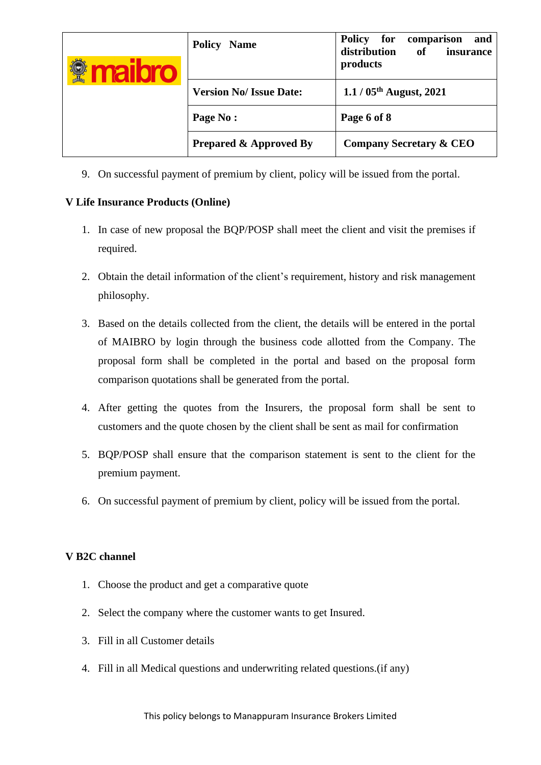| $\rightarrow$<br><u> 1016 - </u> | <b>Policy Name</b>                | <b>Policy</b><br>for<br>comparison<br>and<br>distribution<br>of<br>insurance<br>products |  |
|----------------------------------|-----------------------------------|------------------------------------------------------------------------------------------|--|
|                                  | <b>Version No/ Issue Date:</b>    | $1.1 / 05$ <sup>th</sup> August, 2021                                                    |  |
|                                  | Page No:                          | Page 6 of 8                                                                              |  |
|                                  | <b>Prepared &amp; Approved By</b> | <b>Company Secretary &amp; CEO</b>                                                       |  |

9. On successful payment of premium by client, policy will be issued from the portal.

### **V Life Insurance Products (Online)**

- 1. In case of new proposal the BQP/POSP shall meet the client and visit the premises if required.
- 2. Obtain the detail information of the client's requirement, history and risk management philosophy.
- 3. Based on the details collected from the client, the details will be entered in the portal of MAIBRO by login through the business code allotted from the Company. The proposal form shall be completed in the portal and based on the proposal form comparison quotations shall be generated from the portal.
- 4. After getting the quotes from the Insurers, the proposal form shall be sent to customers and the quote chosen by the client shall be sent as mail for confirmation
- 5. BQP/POSP shall ensure that the comparison statement is sent to the client for the premium payment.
- 6. On successful payment of premium by client, policy will be issued from the portal.

# **V B2C channel**

- 1. Choose the product and get a comparative quote
- 2. Select the company where the customer wants to get Insured.
- 3. Fill in all Customer details
- 4. Fill in all Medical questions and underwriting related questions.(if any)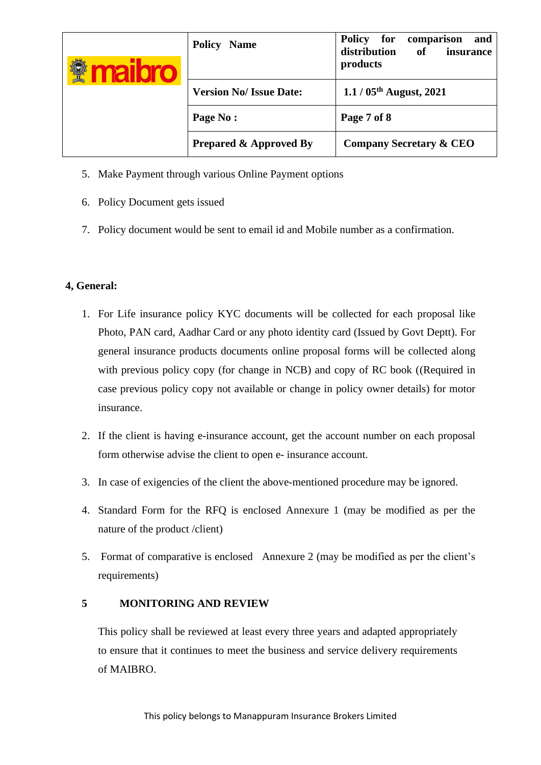|  | <b>Policy</b><br><b>Name</b>      | <b>Policy</b><br>for<br>and<br>comparison<br>distribution<br>of<br>insurance<br>products |
|--|-----------------------------------|------------------------------------------------------------------------------------------|
|  | <b>Version No/ Issue Date:</b>    | $1.1 / 05$ <sup>th</sup> August, 2021                                                    |
|  | Page No:                          | Page 7 of 8                                                                              |
|  | <b>Prepared &amp; Approved By</b> | <b>Company Secretary &amp; CEO</b>                                                       |

- 5. Make Payment through various Online Payment options
- 6. Policy Document gets issued
- 7. Policy document would be sent to email id and Mobile number as a confirmation.

## **4, General:**

- 1. For Life insurance policy KYC documents will be collected for each proposal like Photo, PAN card, Aadhar Card or any photo identity card (Issued by Govt Deptt). For general insurance products documents online proposal forms will be collected along with previous policy copy (for change in NCB) and copy of RC book ((Required in case previous policy copy not available or change in policy owner details) for motor insurance.
- 2. If the client is having e-insurance account, get the account number on each proposal form otherwise advise the client to open e- insurance account.
- 3. In case of exigencies of the client the above-mentioned procedure may be ignored.
- 4. Standard Form for the RFQ is enclosed Annexure 1 (may be modified as per the nature of the product /client)
- 5. Format of comparative is enclosed Annexure 2 (may be modified as per the client's requirements)

### **5 MONITORING AND REVIEW**

This policy shall be reviewed at least every three years and adapted appropriately to ensure that it continues to meet the business and service delivery requirements of MAIBRO.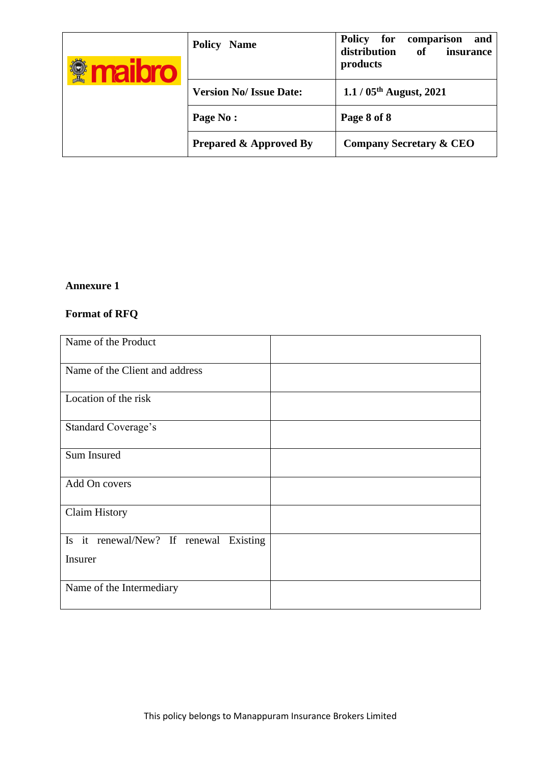|  | <b>Policy</b><br><b>Name</b>      | <b>Policy</b><br>for<br>and<br>comparison<br>distribution<br>of<br>insurance<br>products |
|--|-----------------------------------|------------------------------------------------------------------------------------------|
|  | <b>Version No/ Issue Date:</b>    | $1.1 / 05$ <sup>th</sup> August, 2021                                                    |
|  | Page No:                          | Page 8 of 8                                                                              |
|  | <b>Prepared &amp; Approved By</b> | <b>Company Secretary &amp; CEO</b>                                                       |

# **Annexure 1**

# **Format of RFQ**

| Name of the Product                    |  |
|----------------------------------------|--|
| Name of the Client and address         |  |
| Location of the risk                   |  |
| <b>Standard Coverage's</b>             |  |
| Sum Insured                            |  |
| Add On covers                          |  |
| <b>Claim History</b>                   |  |
| Is it renewal/New? If renewal Existing |  |
| Insurer                                |  |
| Name of the Intermediary               |  |